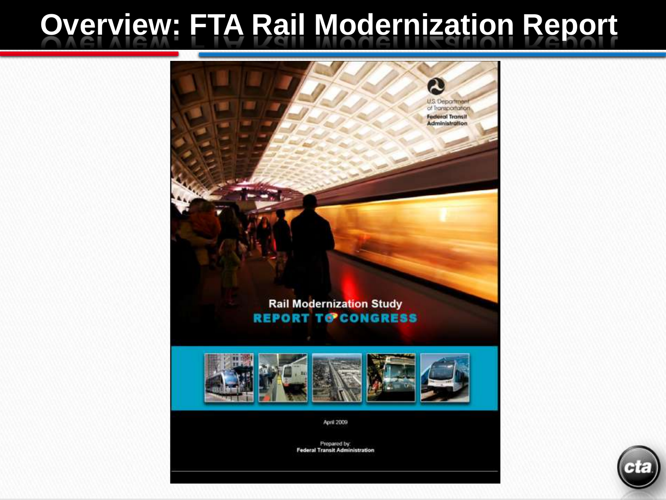#### **Overview: FTA Rail Modernization Report**

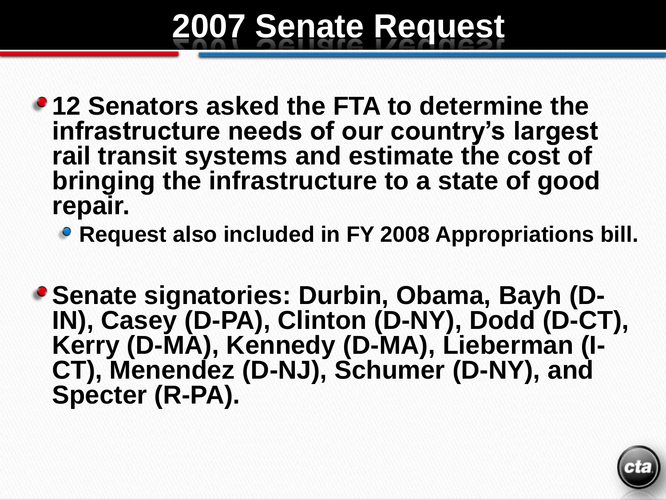## **2007 Senate Request**

- **12 Senators asked the FTA to determine the infrastructure needs of our country's largest rail transit systems and estimate the cost of bringing the infrastructure to a state of good repair.**
	- **Request also included in FY 2008 Appropriations bill.**
- **Senate signatories: Durbin, Obama, Bayh (D-IN), Casey (D-PA), Clinton (D-NY), Dodd (D-CT), Kerry (D-MA), Kennedy (D-MA), Lieberman (I-CT), Menendez (D-NJ), Schumer (D-NY), and Specter (R-PA).**

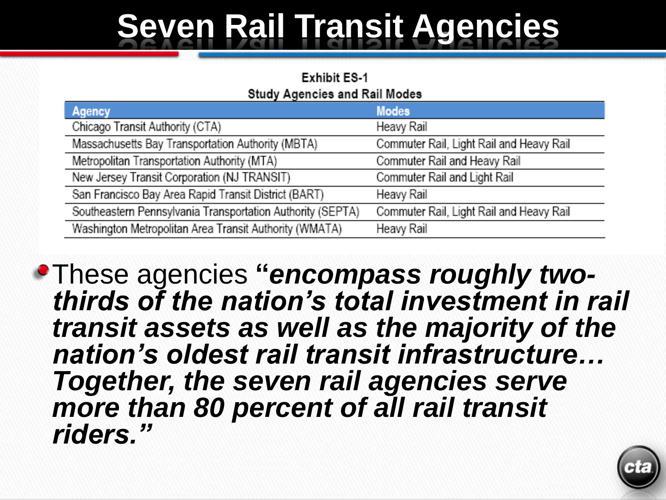# **Seven Rail Transit Agencies**

#### **Exhibit ES-1 Study Agencies and Rail Modes**

| <b>Modes</b>                             |
|------------------------------------------|
| Heavy Rail                               |
| Commuter Rail, Light Rail and Heavy Rail |
| Commuter Rail and Heavy Rail             |
| Commuter Rail and Light Rail             |
| Heavy Rail                               |
| Commuter Rail, Light Rail and Heavy Rail |
| Heavy Rail                               |
|                                          |

These agencies **"***encompass roughly twothirds of the nation's total investment in rail transit assets as well as the majority of the nation's oldest rail transit infrastructure… Together, the seven rail agencies serve more than 80 percent of all rail transit riders."*

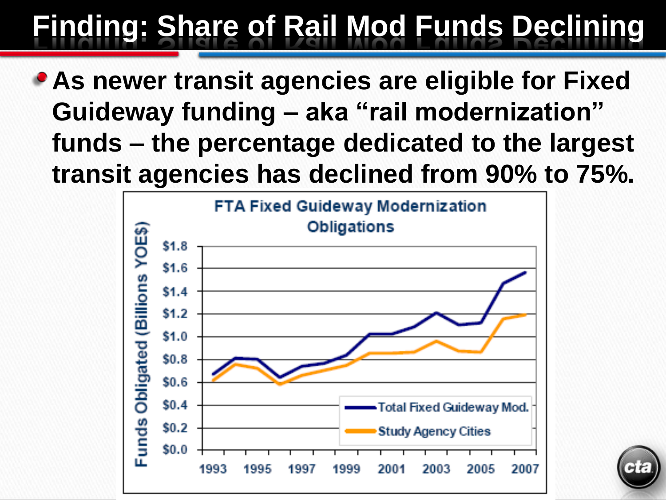## **Finding: Share of Rail Mod Funds Declining**

**As newer transit agencies are eligible for Fixed Guideway funding – aka "rail modernization" funds – the percentage dedicated to the largest transit agencies has declined from 90% to 75%.**



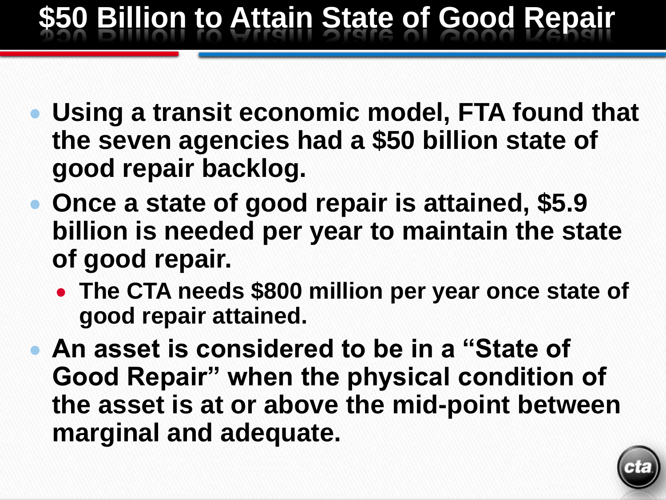### **\$50 Billion to Attain State of Good Repair**

- **Using a transit economic model, FTA found that the seven agencies had a \$50 billion state of good repair backlog.**
- **Once a state of good repair is attained, \$5.9 billion is needed per year to maintain the state of good repair.** 
	- **The CTA needs \$800 million per year once state of good repair attained.**
- **An asset is considered to be in a "State of Good Repair" when the physical condition of the asset is at or above the mid-point between marginal and adequate.**

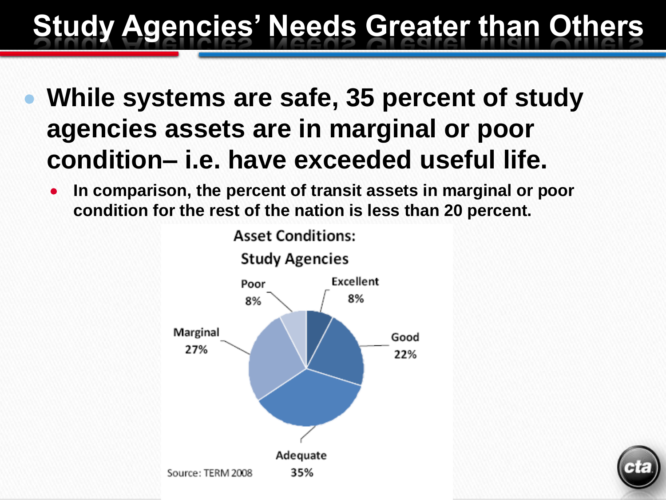#### **Study Agencies' Needs Greater than Others**

- **While systems are safe, 35 percent of study agencies assets are in marginal or poor condition– i.e. have exceeded useful life.**
	- **In comparison, the percent of transit assets in marginal or poor**   $\bullet$ **condition for the rest of the nation is less than 20 percent.**



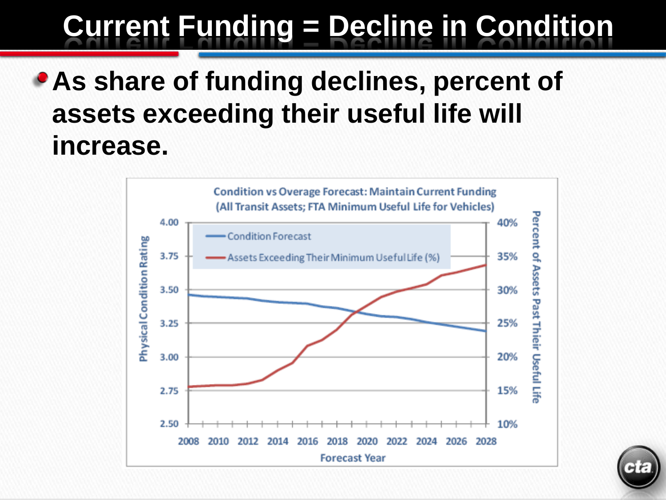## **Current Funding = Decline in Condition**

#### **As share of funding declines, percent of assets exceeding their useful life will increase.**



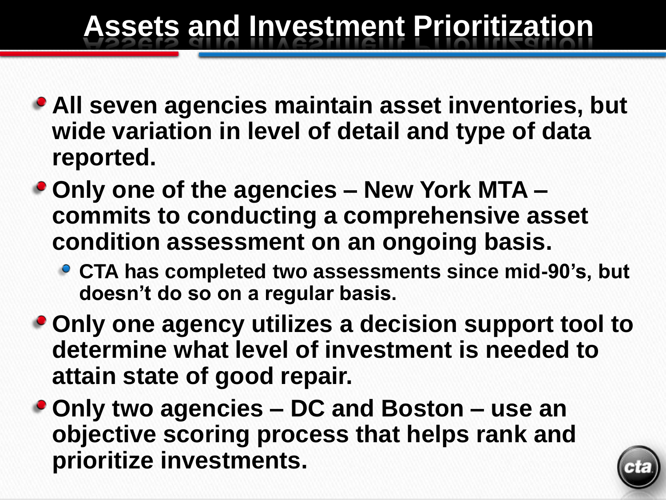#### **Assets and Investment Prioritization**

- **All seven agencies maintain asset inventories, but wide variation in level of detail and type of data reported.**
- **Only one of the agencies – New York MTA – commits to conducting a comprehensive asset condition assessment on an ongoing basis.** 
	- **CTA has completed two assessments since mid-90's, but doesn't do so on a regular basis.**
- **Only one agency utilizes a decision support tool to determine what level of investment is needed to attain state of good repair.**
- **Only two agencies – DC and Boston – use an objective scoring process that helps rank and prioritize investments.**

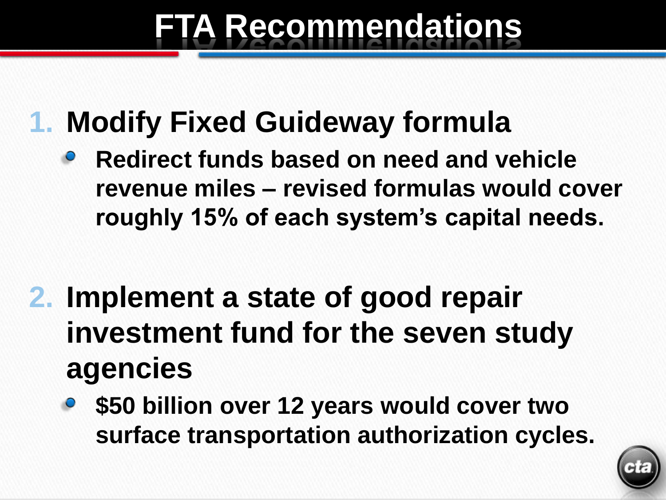# **FTA Recommendations**

#### **1. Modify Fixed Guideway formula**

- **Redirect funds based on need and vehicle revenue miles – revised formulas would cover roughly 15% of each system's capital needs.**
- **2. Implement a state of good repair investment fund for the seven study agencies**
	- **\$50 billion over 12 years would cover two surface transportation authorization cycles.**

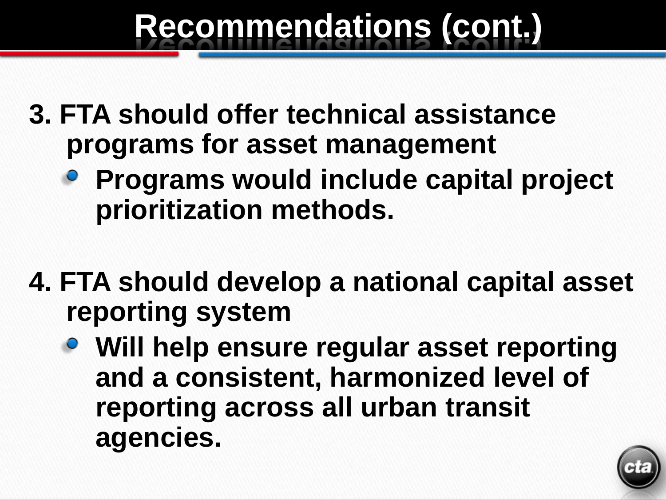## **Recommendations (cont.)**

- **3. FTA should offer technical assistance programs for asset management**
	- **Programs would include capital project prioritization methods.**
- **4. FTA should develop a national capital asset reporting system** 
	- **Will help ensure regular asset reporting and a consistent, harmonized level of reporting across all urban transit agencies.**